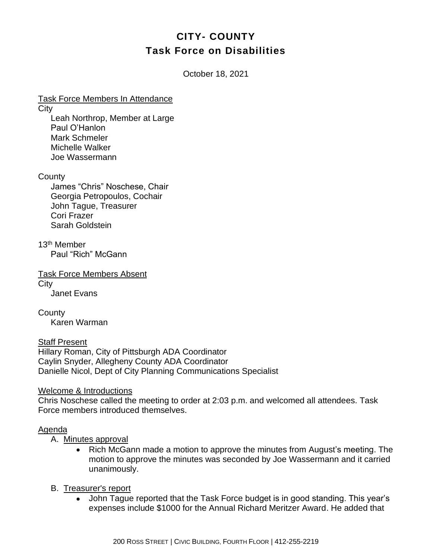# **CITY- COUNTY Task Force on Disabilities**

October 18, 2021

Task Force Members In Attendance

**City** 

Leah Northrop, Member at Large Paul O'Hanlon Mark Schmeler Michelle Walker Joe Wassermann

**County** 

James "Chris" Noschese, Chair Georgia Petropoulos, Cochair John Tague, Treasurer Cori Frazer Sarah Goldstein

13th Member Paul "Rich" McGann

Task Force Members Absent **City** Janet Evans

**County** Karen Warman

Staff Present Hillary Roman, City of Pittsburgh ADA Coordinator Caylin Snyder, Allegheny County ADA Coordinator Danielle Nicol, Dept of City Planning Communications Specialist

Welcome & Introductions

Chris Noschese called the meeting to order at 2:03 p.m. and welcomed all attendees. Task Force members introduced themselves.

#### Agenda

A. Minutes approval

• Rich McGann made a motion to approve the minutes from August's meeting. The motion to approve the minutes was seconded by Joe Wassermann and it carried unanimously.

#### B. Treasurer's report

• John Tague reported that the Task Force budget is in good standing. This year's expenses include \$1000 for the Annual Richard Meritzer Award. He added that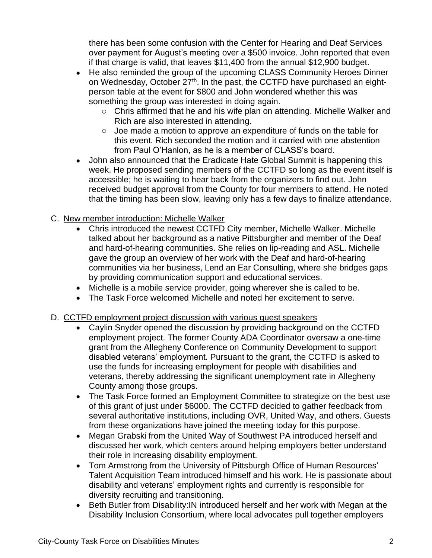there has been some confusion with the Center for Hearing and Deaf Services over payment for August's meeting over a \$500 invoice. John reported that even if that charge is valid, that leaves \$11,400 from the annual \$12,900 budget.

- He also reminded the group of the upcoming CLASS Community Heroes Dinner on Wednesday, October 27<sup>th</sup>. In the past, the CCTFD have purchased an eightperson table at the event for \$800 and John wondered whether this was something the group was interested in doing again.
	- o Chris affirmed that he and his wife plan on attending. Michelle Walker and Rich are also interested in attending.
	- o Joe made a motion to approve an expenditure of funds on the table for this event. Rich seconded the motion and it carried with one abstention from Paul O'Hanlon, as he is a member of CLASS's board.
- John also announced that the Eradicate Hate Global Summit is happening this week. He proposed sending members of the CCTFD so long as the event itself is accessible; he is waiting to hear back from the organizers to find out. John received budget approval from the County for four members to attend. He noted that the timing has been slow, leaving only has a few days to finalize attendance.

## C. New member introduction: Michelle Walker

- Chris introduced the newest CCTFD City member, Michelle Walker. Michelle talked about her background as a native Pittsburgher and member of the Deaf and hard-of-hearing communities. She relies on lip-reading and ASL. Michelle gave the group an overview of her work with the Deaf and hard-of-hearing communities via her business, Lend an Ear Consulting, where she bridges gaps by providing communication support and educational services.
- Michelle is a mobile service provider, going wherever she is called to be.
- The Task Force welcomed Michelle and noted her excitement to serve.

### D. CCTFD employment project discussion with various guest speakers

- Caylin Snyder opened the discussion by providing background on the CCTFD employment project. The former County ADA Coordinator oversaw a one-time grant from the Allegheny Conference on Community Development to support disabled veterans' employment. Pursuant to the grant, the CCTFD is asked to use the funds for increasing employment for people with disabilities and veterans, thereby addressing the significant unemployment rate in Allegheny County among those groups.
- The Task Force formed an Employment Committee to strategize on the best use of this grant of just under \$6000. The CCTFD decided to gather feedback from several authoritative institutions, including OVR, United Way, and others. Guests from these organizations have joined the meeting today for this purpose.
- Megan Grabski from the United Way of Southwest PA introduced herself and discussed her work, which centers around helping employers better understand their role in increasing disability employment.
- Tom Armstrong from the University of Pittsburgh Office of Human Resources' Talent Acquisition Team introduced himself and his work. He is passionate about disability and veterans' employment rights and currently is responsible for diversity recruiting and transitioning.
- Beth Butler from Disability:IN introduced herself and her work with Megan at the Disability Inclusion Consortium, where local advocates pull together employers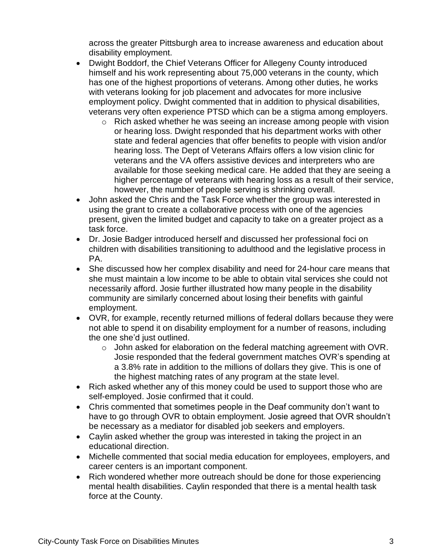across the greater Pittsburgh area to increase awareness and education about disability employment.

- Dwight Boddorf, the Chief Veterans Officer for Allegeny County introduced himself and his work representing about 75,000 veterans in the county, which has one of the highest proportions of veterans. Among other duties, he works with veterans looking for job placement and advocates for more inclusive employment policy. Dwight commented that in addition to physical disabilities, veterans very often experience PTSD which can be a stigma among employers.
	- o Rich asked whether he was seeing an increase among people with vision or hearing loss. Dwight responded that his department works with other state and federal agencies that offer benefits to people with vision and/or hearing loss. The Dept of Veterans Affairs offers a low vision clinic for veterans and the VA offers assistive devices and interpreters who are available for those seeking medical care. He added that they are seeing a higher percentage of veterans with hearing loss as a result of their service, however, the number of people serving is shrinking overall.
- John asked the Chris and the Task Force whether the group was interested in using the grant to create a collaborative process with one of the agencies present, given the limited budget and capacity to take on a greater project as a task force.
- Dr. Josie Badger introduced herself and discussed her professional foci on children with disabilities transitioning to adulthood and the legislative process in PA.
- She discussed how her complex disability and need for 24-hour care means that she must maintain a low income to be able to obtain vital services she could not necessarily afford. Josie further illustrated how many people in the disability community are similarly concerned about losing their benefits with gainful employment.
- OVR, for example, recently returned millions of federal dollars because they were not able to spend it on disability employment for a number of reasons, including the one she'd just outlined.
	- o John asked for elaboration on the federal matching agreement with OVR. Josie responded that the federal government matches OVR's spending at a 3.8% rate in addition to the millions of dollars they give. This is one of the highest matching rates of any program at the state level.
- Rich asked whether any of this money could be used to support those who are self-employed. Josie confirmed that it could.
- Chris commented that sometimes people in the Deaf community don't want to have to go through OVR to obtain employment. Josie agreed that OVR shouldn't be necessary as a mediator for disabled job seekers and employers.
- Caylin asked whether the group was interested in taking the project in an educational direction.
- Michelle commented that social media education for employees, employers, and career centers is an important component.
- Rich wondered whether more outreach should be done for those experiencing mental health disabilities. Caylin responded that there is a mental health task force at the County.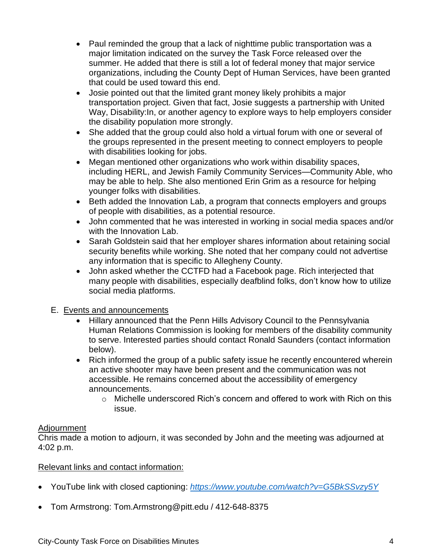- Paul reminded the group that a lack of nighttime public transportation was a major limitation indicated on the survey the Task Force released over the summer. He added that there is still a lot of federal money that major service organizations, including the County Dept of Human Services, have been granted that could be used toward this end.
- Josie pointed out that the limited grant money likely prohibits a major transportation project. Given that fact, Josie suggests a partnership with United Way, Disability:In, or another agency to explore ways to help employers consider the disability population more strongly.
- She added that the group could also hold a virtual forum with one or several of the groups represented in the present meeting to connect employers to people with disabilities looking for jobs.
- Megan mentioned other organizations who work within disability spaces, including HERL, and Jewish Family Community Services—Community Able, who may be able to help. She also mentioned Erin Grim as a resource for helping younger folks with disabilities.
- Beth added the Innovation Lab, a program that connects employers and groups of people with disabilities, as a potential resource.
- John commented that he was interested in working in social media spaces and/or with the Innovation Lab.
- Sarah Goldstein said that her employer shares information about retaining social security benefits while working. She noted that her company could not advertise any information that is specific to Allegheny County.
- John asked whether the CCTFD had a Facebook page. Rich interjected that many people with disabilities, especially deafblind folks, don't know how to utilize social media platforms.

# E. Events and announcements

- Hillary announced that the Penn Hills Advisory Council to the Pennsylvania Human Relations Commission is looking for members of the disability community to serve. Interested parties should contact Ronald Saunders (contact information below).
- Rich informed the group of a public safety issue he recently encountered wherein an active shooter may have been present and the communication was not accessible. He remains concerned about the accessibility of emergency announcements.
	- o Michelle underscored Rich's concern and offered to work with Rich on this issue.

### Adjournment

Chris made a motion to adjourn, it was seconded by John and the meeting was adjourned at 4:02 p.m.

# Relevant links and contact information:

- YouTube link with closed captioning: *<https://www.youtube.com/watch?v=G5BkSSvzy5Y>*
- Tom Armstrong: Tom.Armstrong@pitt.edu / 412-648-8375